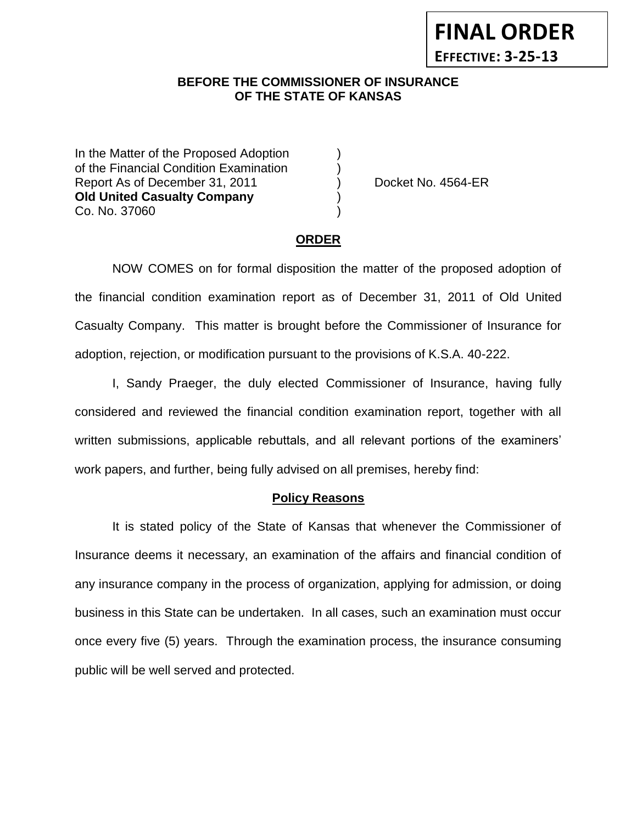### **BEFORE THE COMMISSIONER OF INSURANCE** *-12***OF THE STATE OF KANSAS**

In the Matter of the Proposed Adoption of the Financial Condition Examination ) Report As of December 31, 2011 (a) Docket No. 4564-ER **Old United Casualty Company** ) Co. No. 37060 )

**FINAL ORDER**

**EFFECTIVE: 3-25-13**

#### **ORDER**

NOW COMES on for formal disposition the matter of the proposed adoption of the financial condition examination report as of December 31, 2011 of Old United Casualty Company. This matter is brought before the Commissioner of Insurance for adoption, rejection, or modification pursuant to the provisions of K.S.A. 40-222.

I, Sandy Praeger, the duly elected Commissioner of Insurance, having fully considered and reviewed the financial condition examination report, together with all written submissions, applicable rebuttals, and all relevant portions of the examiners' work papers, and further, being fully advised on all premises, hereby find:

#### **Policy Reasons**

It is stated policy of the State of Kansas that whenever the Commissioner of Insurance deems it necessary, an examination of the affairs and financial condition of any insurance company in the process of organization, applying for admission, or doing business in this State can be undertaken. In all cases, such an examination must occur once every five (5) years. Through the examination process, the insurance consuming public will be well served and protected.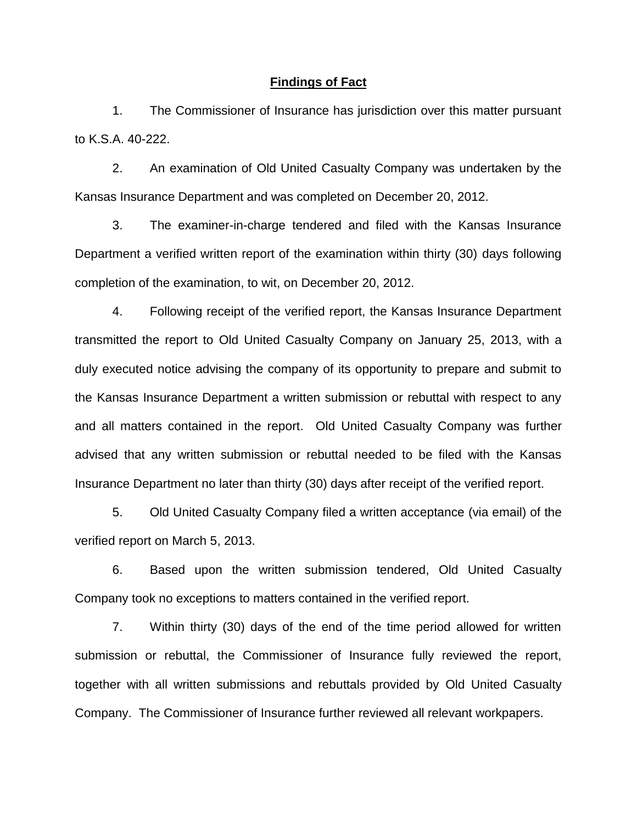#### **Findings of Fact**

1. The Commissioner of Insurance has jurisdiction over this matter pursuant to K.S.A. 40-222.

2. An examination of Old United Casualty Company was undertaken by the Kansas Insurance Department and was completed on December 20, 2012.

3. The examiner-in-charge tendered and filed with the Kansas Insurance Department a verified written report of the examination within thirty (30) days following completion of the examination, to wit, on December 20, 2012.

4. Following receipt of the verified report, the Kansas Insurance Department transmitted the report to Old United Casualty Company on January 25, 2013, with a duly executed notice advising the company of its opportunity to prepare and submit to the Kansas Insurance Department a written submission or rebuttal with respect to any and all matters contained in the report. Old United Casualty Company was further advised that any written submission or rebuttal needed to be filed with the Kansas Insurance Department no later than thirty (30) days after receipt of the verified report.

5. Old United Casualty Company filed a written acceptance (via email) of the verified report on March 5, 2013.

6. Based upon the written submission tendered, Old United Casualty Company took no exceptions to matters contained in the verified report.

7. Within thirty (30) days of the end of the time period allowed for written submission or rebuttal, the Commissioner of Insurance fully reviewed the report, together with all written submissions and rebuttals provided by Old United Casualty Company. The Commissioner of Insurance further reviewed all relevant workpapers.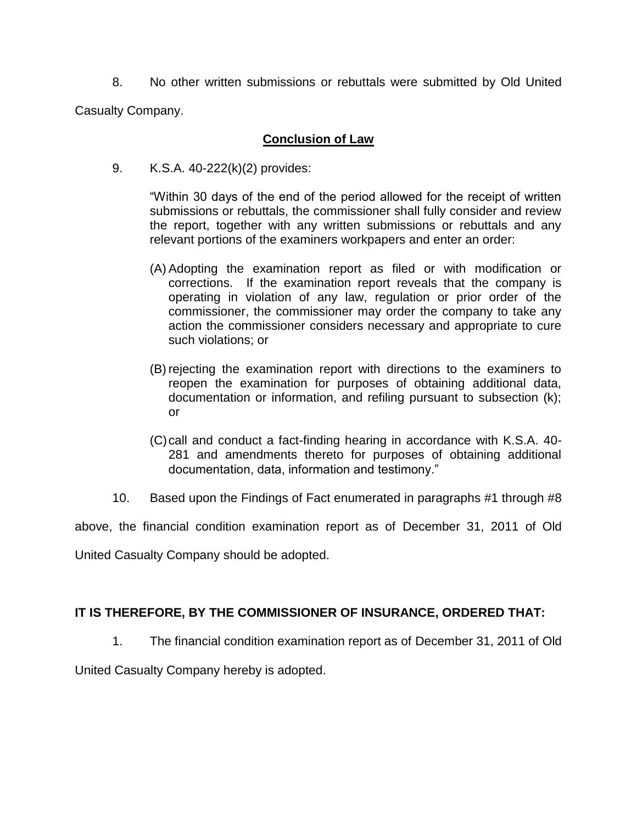8. No other written submissions or rebuttals were submitted by Old United

Casualty Company.

### **Conclusion of Law**

9. K.S.A. 40-222(k)(2) provides:

"Within 30 days of the end of the period allowed for the receipt of written submissions or rebuttals, the commissioner shall fully consider and review the report, together with any written submissions or rebuttals and any relevant portions of the examiners workpapers and enter an order:

- (A) Adopting the examination report as filed or with modification or corrections. If the examination report reveals that the company is operating in violation of any law, regulation or prior order of the commissioner, the commissioner may order the company to take any action the commissioner considers necessary and appropriate to cure such violations; or
- (B) rejecting the examination report with directions to the examiners to reopen the examination for purposes of obtaining additional data, documentation or information, and refiling pursuant to subsection (k); or
- (C)call and conduct a fact-finding hearing in accordance with K.S.A. 40- 281 and amendments thereto for purposes of obtaining additional documentation, data, information and testimony."
- 10. Based upon the Findings of Fact enumerated in paragraphs #1 through #8

above, the financial condition examination report as of December 31, 2011 of Old

United Casualty Company should be adopted.

## **IT IS THEREFORE, BY THE COMMISSIONER OF INSURANCE, ORDERED THAT:**

1. The financial condition examination report as of December 31, 2011 of Old

United Casualty Company hereby is adopted.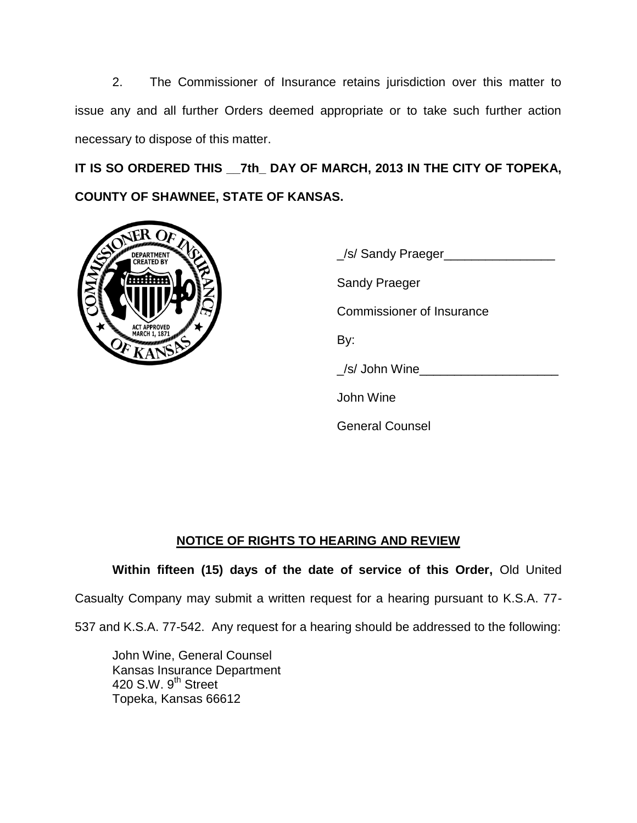2. The Commissioner of Insurance retains jurisdiction over this matter to issue any and all further Orders deemed appropriate or to take such further action necessary to dispose of this matter.

**IT IS SO ORDERED THIS \_\_7th\_ DAY OF MARCH, 2013 IN THE CITY OF TOPEKA, COUNTY OF SHAWNEE, STATE OF KANSAS.**



| S/ Sandy Praeger          |
|---------------------------|
| <b>Sandy Praeger</b>      |
| Commissioner of Insurance |
| By:                       |
| /s/ John Wine             |
| John Wine                 |
| <b>General Counsel</b>    |

## **NOTICE OF RIGHTS TO HEARING AND REVIEW**

**Within fifteen (15) days of the date of service of this Order,** Old United

Casualty Company may submit a written request for a hearing pursuant to K.S.A. 77-

537 and K.S.A. 77-542. Any request for a hearing should be addressed to the following:

John Wine, General Counsel Kansas Insurance Department 420 S.W. 9<sup>th</sup> Street Topeka, Kansas 66612